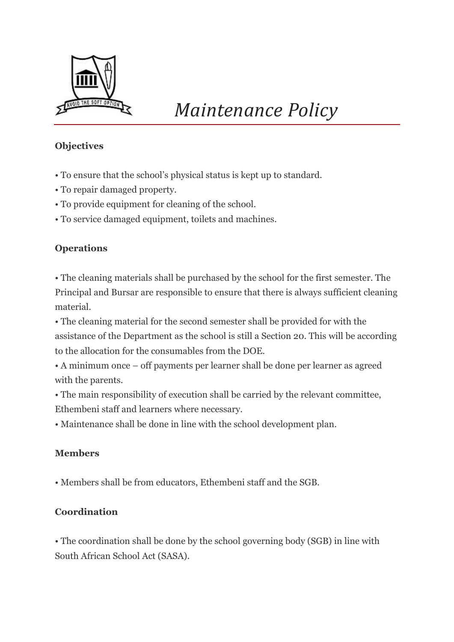

# *Maintenance Policy*

## **Objectives**

- To ensure that the school's physical status is kept up to standard.
- To repair damaged property.
- To provide equipment for cleaning of the school.
- To service damaged equipment, toilets and machines.

## **Operations**

• The cleaning materials shall be purchased by the school for the first semester. The Principal and Bursar are responsible to ensure that there is always sufficient cleaning material.

• The cleaning material for the second semester shall be provided for with the assistance of the Department as the school is still a Section 20. This will be according to the allocation for the consumables from the DOE.

• A minimum once – off payments per learner shall be done per learner as agreed with the parents.

• The main responsibility of execution shall be carried by the relevant committee, Ethembeni staff and learners where necessary.

• Maintenance shall be done in line with the school development plan.

## **Members**

• Members shall be from educators, Ethembeni staff and the SGB.

#### **Coordination**

• The coordination shall be done by the school governing body (SGB) in line with South African School Act (SASA).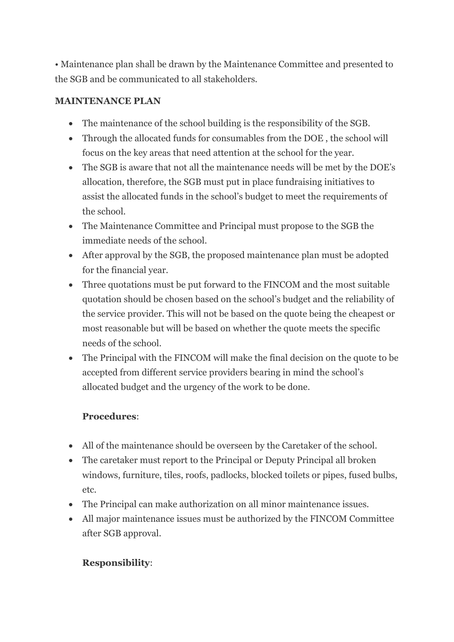• Maintenance plan shall be drawn by the Maintenance Committee and presented to the SGB and be communicated to all stakeholders.

### **MAINTENANCE PLAN**

- The maintenance of the school building is the responsibility of the SGB.
- Through the allocated funds for consumables from the DOE, the school will focus on the key areas that need attention at the school for the year.
- The SGB is aware that not all the maintenance needs will be met by the DOE's allocation, therefore, the SGB must put in place fundraising initiatives to assist the allocated funds in the school's budget to meet the requirements of the school.
- The Maintenance Committee and Principal must propose to the SGB the immediate needs of the school
- After approval by the SGB, the proposed maintenance plan must be adopted for the financial year.
- Three quotations must be put forward to the FINCOM and the most suitable quotation should be chosen based on the school's budget and the reliability of the service provider. This will not be based on the quote being the cheapest or most reasonable but will be based on whether the quote meets the specific needs of the school.
- The Principal with the FINCOM will make the final decision on the quote to be accepted from different service providers bearing in mind the school's allocated budget and the urgency of the work to be done.

## **Procedures**:

- All of the maintenance should be overseen by the Caretaker of the school.
- The caretaker must report to the Principal or Deputy Principal all broken windows, furniture, tiles, roofs, padlocks, blocked toilets or pipes, fused bulbs, etc.
- The Principal can make authorization on all minor maintenance issues.
- All major maintenance issues must be authorized by the FINCOM Committee after SGB approval.

## **Responsibility**: